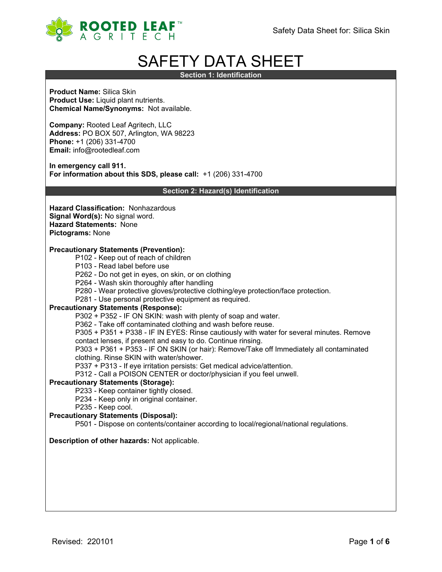

# SAFETY DATA SHEET

**Section 1: Identification**

**Product Name:** Silica Skin **Product Use:** Liquid plant nutrients. **Chemical Name/Synonyms:** Not available.

**Company:** Rooted Leaf Agritech, LLC **Address:** PO BOX 507, Arlington, WA 98223 **Phone:** +1 (206) 331-4700 **Email:** info@rootedleaf.com

**In emergency call 911. For information about this SDS, please call:** +1 (206) 331-4700

**Section 2: Hazard(s) Identification**

**Hazard Classification:** Nonhazardous **Signal Word(s):** No signal word. **Hazard Statements:** None **Pictograms:** None

#### **Precautionary Statements (Prevention):**

- P102 Keep out of reach of children
- P103 Read label before use
- P262 Do not get in eyes, on skin, or on clothing
- P264 Wash skin thoroughly after handling
- P280 Wear protective gloves/protective clothing/eye protection/face protection.
- P281 Use personal protective equipment as required.

#### **Precautionary Statements (Response):**

P302 + P352 - IF ON SKIN: wash with plenty of soap and water.

P362 - Take off contaminated clothing and wash before reuse.

P305 + P351 + P338 - IF IN EYES: Rinse cautiously with water for several minutes. Remove

- contact lenses, if present and easy to do. Continue rinsing.
- P303 + P361 + P353 IF ON SKIN (or hair): Remove/Take off Immediately all contaminated clothing. Rinse SKIN with water/shower.
- P337 + P313 If eye irritation persists: Get medical advice/attention.
- P312 Call a POISON CENTER or doctor/physician if you feel unwell.

#### **Precautionary Statements (Storage):**

- P233 Keep container tightly closed.
- P234 Keep only in original container.
- P235 Keep cool.

# **Precautionary Statements (Disposal):**

P501 - Dispose on contents/container according to local/regional/national regulations.

## **Description of other hazards:** Not applicable.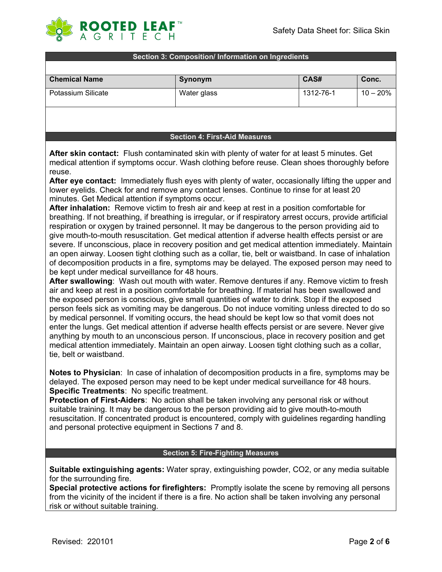

#### **Section 3: Composition/ Information on Ingredients**

| <b>Chemical Name</b> | Synonym     | CAS#      | Conc.      |
|----------------------|-------------|-----------|------------|
| Potassium Silicate   | Water glass | 1312-76-1 | $10 - 20%$ |
|                      |             |           |            |

#### **Section 4: First-Aid Measures**

**After skin contact:** Flush contaminated skin with plenty of water for at least 5 minutes. Get medical attention if symptoms occur. Wash clothing before reuse. Clean shoes thoroughly before reuse.

**After eye contact:** Immediately flush eyes with plenty of water, occasionally lifting the upper and lower eyelids. Check for and remove any contact lenses. Continue to rinse for at least 20 minutes. Get Medical attention if symptoms occur.

**After inhalation:** Remove victim to fresh air and keep at rest in a position comfortable for breathing. If not breathing, if breathing is irregular, or if respiratory arrest occurs, provide artificial respiration or oxygen by trained personnel. It may be dangerous to the person providing aid to give mouth-to-mouth resuscitation. Get medical attention if adverse health effects persist or are severe. If unconscious, place in recovery position and get medical attention immediately. Maintain an open airway. Loosen tight clothing such as a collar, tie, belt or waistband. In case of inhalation of decomposition products in a fire, symptoms may be delayed. The exposed person may need to be kept under medical surveillance for 48 hours.

**After swallowing**: Wash out mouth with water. Remove dentures if any. Remove victim to fresh air and keep at rest in a position comfortable for breathing. If material has been swallowed and the exposed person is conscious, give small quantities of water to drink. Stop if the exposed person feels sick as vomiting may be dangerous. Do not induce vomiting unless directed to do so by medical personnel. If vomiting occurs, the head should be kept low so that vomit does not enter the lungs. Get medical attention if adverse health effects persist or are severe. Never give anything by mouth to an unconscious person. If unconscious, place in recovery position and get medical attention immediately. Maintain an open airway. Loosen tight clothing such as a collar, tie, belt or waistband.

**Notes to Physician**: In case of inhalation of decomposition products in a fire, symptoms may be delayed. The exposed person may need to be kept under medical surveillance for 48 hours. **Specific Treatments**: No specific treatment.

**Protection of First-Aiders**: No action shall be taken involving any personal risk or without suitable training. It may be dangerous to the person providing aid to give mouth-to-mouth resuscitation. If concentrated product is encountered, comply with guidelines regarding handling and personal protective equipment in Sections 7 and 8.

#### **Section 5: Fire-Fighting Measures**

**Suitable extinguishing agents:** Water spray, extinguishing powder, CO2, or any media suitable for the surrounding fire.

**Special protective actions for firefighters:** Promptly isolate the scene by removing all persons from the vicinity of the incident if there is a fire. No action shall be taken involving any personal risk or without suitable training.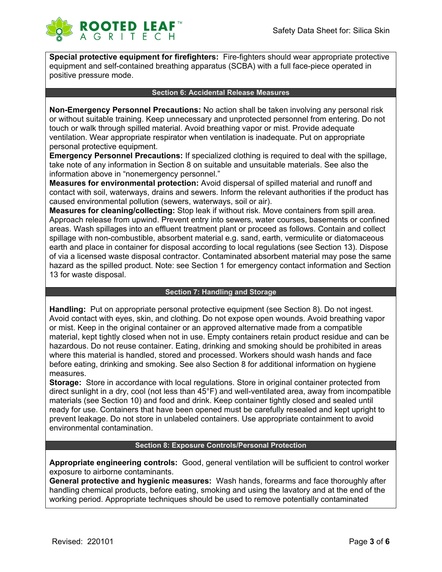

**Special protective equipment for firefighters:** Fire-fighters should wear appropriate protective equipment and self-contained breathing apparatus (SCBA) with a full face-piece operated in positive pressure mode.

#### **Section 6: Accidental Release Measures**

**Non-Emergency Personnel Precautions:** No action shall be taken involving any personal risk or without suitable training. Keep unnecessary and unprotected personnel from entering. Do not touch or walk through spilled material. Avoid breathing vapor or mist. Provide adequate ventilation. Wear appropriate respirator when ventilation is inadequate. Put on appropriate personal protective equipment.

**Emergency Personnel Precautions:** If specialized clothing is required to deal with the spillage, take note of any information in Section 8 on suitable and unsuitable materials. See also the information above in "nonemergency personnel."

**Measures for environmental protection:** Avoid dispersal of spilled material and runoff and contact with soil, waterways, drains and sewers. Inform the relevant authorities if the product has caused environmental pollution (sewers, waterways, soil or air).

**Measures for cleaning/collecting:** Stop leak if without risk. Move containers from spill area. Approach release from upwind. Prevent entry into sewers, water courses, basements or confined areas. Wash spillages into an effluent treatment plant or proceed as follows. Contain and collect spillage with non-combustible, absorbent material e.g. sand, earth, vermiculite or diatomaceous earth and place in container for disposal according to local regulations (see Section 13). Dispose of via a licensed waste disposal contractor. Contaminated absorbent material may pose the same hazard as the spilled product. Note: see Section 1 for emergency contact information and Section 13 for waste disposal.

#### **Section 7: Handling and Storage**

**Handling:** Put on appropriate personal protective equipment (see Section 8). Do not ingest. Avoid contact with eyes, skin, and clothing. Do not expose open wounds. Avoid breathing vapor or mist. Keep in the original container or an approved alternative made from a compatible material, kept tightly closed when not in use. Empty containers retain product residue and can be hazardous. Do not reuse container. Eating, drinking and smoking should be prohibited in areas where this material is handled, stored and processed. Workers should wash hands and face before eating, drinking and smoking. See also Section 8 for additional information on hygiene measures.

**Storage:** Store in accordance with local regulations. Store in original container protected from direct sunlight in a dry, cool (not less than 45°F) and well-ventilated area, away from incompatible materials (see Section 10) and food and drink. Keep container tightly closed and sealed until ready for use. Containers that have been opened must be carefully resealed and kept upright to prevent leakage. Do not store in unlabeled containers. Use appropriate containment to avoid environmental contamination.

### **Section 8: Exposure Controls/Personal Protection**

**Appropriate engineering controls:** Good, general ventilation will be sufficient to control worker exposure to airborne contaminants.

**General protective and hygienic measures:** Wash hands, forearms and face thoroughly after handling chemical products, before eating, smoking and using the lavatory and at the end of the working period. Appropriate techniques should be used to remove potentially contaminated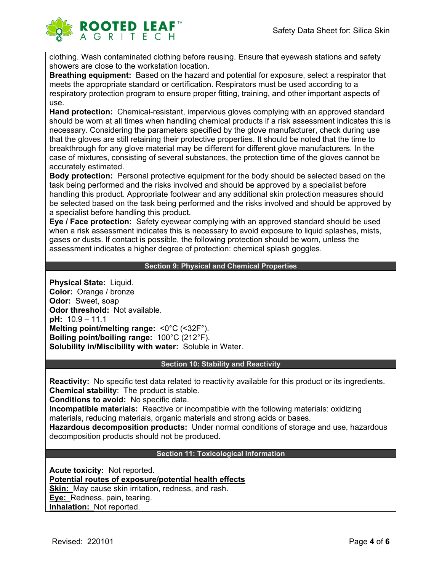

clothing. Wash contaminated clothing before reusing. Ensure that eyewash stations and safety showers are close to the workstation location.

**Breathing equipment:** Based on the hazard and potential for exposure, select a respirator that meets the appropriate standard or certification. Respirators must be used according to a respiratory protection program to ensure proper fitting, training, and other important aspects of use.

**Hand protection:** Chemical-resistant, impervious gloves complying with an approved standard should be worn at all times when handling chemical products if a risk assessment indicates this is necessary. Considering the parameters specified by the glove manufacturer, check during use that the gloves are still retaining their protective properties. It should be noted that the time to breakthrough for any glove material may be different for different glove manufacturers. In the case of mixtures, consisting of several substances, the protection time of the gloves cannot be accurately estimated.

**Body protection:** Personal protective equipment for the body should be selected based on the task being performed and the risks involved and should be approved by a specialist before handling this product. Appropriate footwear and any additional skin protection measures should be selected based on the task being performed and the risks involved and should be approved by a specialist before handling this product.

**Eye / Face protection:** Safety eyewear complying with an approved standard should be used when a risk assessment indicates this is necessary to avoid exposure to liquid splashes, mists, gases or dusts. If contact is possible, the following protection should be worn, unless the assessment indicates a higher degree of protection: chemical splash goggles.

## **Section 9: Physical and Chemical Properties**

**Physical State:** Liquid. **Color:** Orange / bronze **Odor:** Sweet, soap **Odor threshold:** Not available. **pH:** 10.9 – 11.1 **Melting point/melting range:** <0°C (<32F°). **Boiling point/boiling range:** 100°C (212°F). **Solubility in/Miscibility with water:** Soluble in Water.

#### **Section 10: Stability and Reactivity**

**Reactivity:** No specific test data related to reactivity available for this product or its ingredients. **Chemical stability**: The product is stable.

**Conditions to avoid:** No specific data.

**Incompatible materials:** Reactive or incompatible with the following materials: oxidizing materials, reducing materials, organic materials and strong acids or bases.

**Hazardous decomposition products:** Under normal conditions of storage and use, hazardous decomposition products should not be produced.

#### **Section 11: Toxicological Information**

**Acute toxicity:** Not reported. **Potential routes of exposure/potential health effects Skin:** May cause skin irritation, redness, and rash. **Eye:** Redness, pain, tearing. **Inhalation:** Not reported.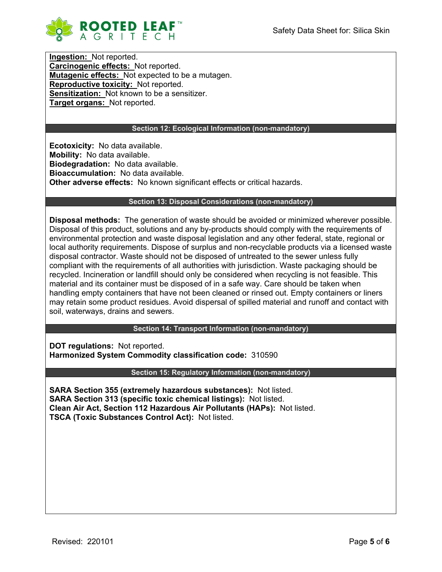

**Ingestion:** Not reported. **Carcinogenic effects:** Not reported. **Mutagenic effects:** Not expected to be a mutagen. **Reproductive toxicity:** Not reported. **Sensitization:** Not known to be a sensitizer. **Target organs:** Not reported.

## **Section 12: Ecological Information (non-mandatory)**

**Ecotoxicity:** No data available. **Mobility:** No data available. **Biodegradation:** No data available. **Bioaccumulation:** No data available. **Other adverse effects:** No known significant effects or critical hazards.

#### **Section 13: Disposal Considerations (non-mandatory)**

**Disposal methods:** The generation of waste should be avoided or minimized wherever possible. Disposal of this product, solutions and any by-products should comply with the requirements of environmental protection and waste disposal legislation and any other federal, state, regional or local authority requirements. Dispose of surplus and non-recyclable products via a licensed waste disposal contractor. Waste should not be disposed of untreated to the sewer unless fully compliant with the requirements of all authorities with jurisdiction. Waste packaging should be recycled. Incineration or landfill should only be considered when recycling is not feasible. This material and its container must be disposed of in a safe way. Care should be taken when handling empty containers that have not been cleaned or rinsed out. Empty containers or liners may retain some product residues. Avoid dispersal of spilled material and runoff and contact with soil, waterways, drains and sewers.

**Section 14: Transport Information (non-mandatory)**

**DOT regulations:** Not reported. **Harmonized System Commodity classification code:** 310590

**Section 15: Regulatory Information (non-mandatory)**

**SARA Section 355 (extremely hazardous substances):** Not listed. **SARA Section 313 (specific toxic chemical listings):** Not listed. **Clean Air Act, Section 112 Hazardous Air Pollutants (HAPs):** Not listed. **TSCA (Toxic Substances Control Act):** Not listed.